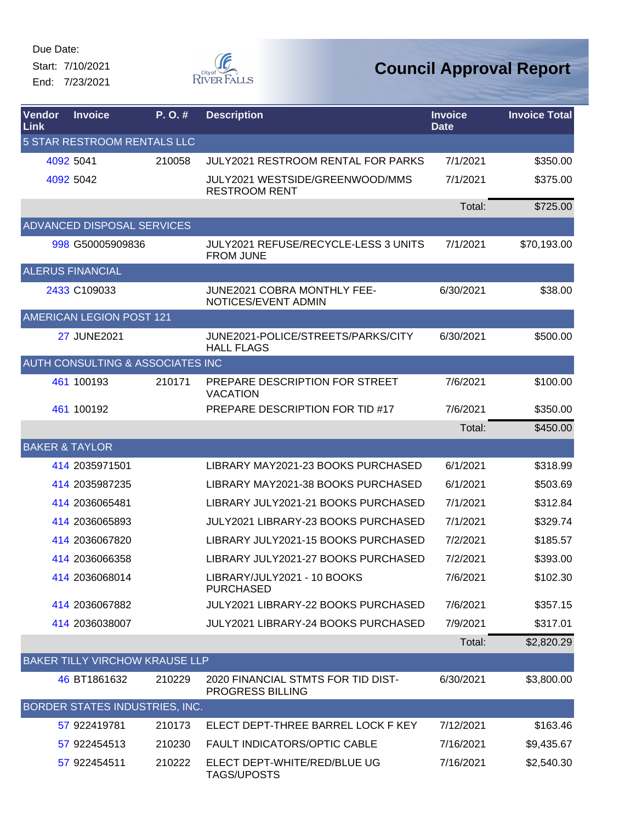Start: 7/10/2021 End: 7/23/2021



| Vendor<br>Link            | <b>Invoice</b>                        | P.O.#  | <b>Description</b>                                              | <b>Invoice</b><br><b>Date</b> | <b>Invoice Total</b> |
|---------------------------|---------------------------------------|--------|-----------------------------------------------------------------|-------------------------------|----------------------|
|                           | 5 STAR RESTROOM RENTALS LLC           |        |                                                                 |                               |                      |
|                           | 4092 5041                             | 210058 | JULY2021 RESTROOM RENTAL FOR PARKS                              | 7/1/2021                      | \$350.00             |
|                           | 4092 5042                             |        | JULY2021 WESTSIDE/GREENWOOD/MMS<br><b>RESTROOM RENT</b>         | 7/1/2021                      | \$375.00             |
|                           |                                       |        |                                                                 | Total:                        | \$725.00             |
|                           | ADVANCED DISPOSAL SERVICES            |        |                                                                 |                               |                      |
|                           | 998 G50005909836                      |        | <b>JULY2021 REFUSE/RECYCLE-LESS 3 UNITS</b><br><b>FROM JUNE</b> | 7/1/2021                      | \$70,193.00          |
|                           | <b>ALERUS FINANCIAL</b>               |        |                                                                 |                               |                      |
|                           | 2433 C109033                          |        | <b>JUNE2021 COBRA MONTHLY FEE-</b><br>NOTICES/EVENT ADMIN       | 6/30/2021                     | \$38.00              |
|                           | AMERICAN LEGION POST 121              |        |                                                                 |                               |                      |
|                           | <b>27 JUNE2021</b>                    |        | JUNE2021-POLICE/STREETS/PARKS/CITY<br><b>HALL FLAGS</b>         | 6/30/2021                     | \$500.00             |
|                           | AUTH CONSULTING & ASSOCIATES INC      |        |                                                                 |                               |                      |
|                           | 461 100193                            | 210171 | PREPARE DESCRIPTION FOR STREET<br><b>VACATION</b>               | 7/6/2021                      | \$100.00             |
|                           | 461 100192                            |        | PREPARE DESCRIPTION FOR TID #17                                 | 7/6/2021                      | \$350.00             |
|                           |                                       |        |                                                                 | Total:                        | \$450.00             |
| <b>BAKER &amp; TAYLOR</b> |                                       |        |                                                                 |                               |                      |
|                           | 414 2035971501                        |        | LIBRARY MAY2021-23 BOOKS PURCHASED                              | 6/1/2021                      | \$318.99             |
|                           | 414 2035987235                        |        | LIBRARY MAY2021-38 BOOKS PURCHASED                              | 6/1/2021                      | \$503.69             |
|                           | 414 2036065481                        |        | LIBRARY JULY2021-21 BOOKS PURCHASED                             | 7/1/2021                      | \$312.84             |
|                           | 414 2036065893                        |        | <b>JULY2021 LIBRARY-23 BOOKS PURCHASED</b>                      | 7/1/2021                      | \$329.74             |
|                           | 414 2036067820                        |        | LIBRARY JULY2021-15 BOOKS PURCHASED                             | 7/2/2021                      | \$185.57             |
|                           | 414 2036066358                        |        | LIBRARY JULY2021-27 BOOKS PURCHASED                             | 7/2/2021                      | \$393.00             |
|                           | 414 2036068014                        |        | LIBRARY/JULY2021 - 10 BOOKS<br><b>PURCHASED</b>                 | 7/6/2021                      | \$102.30             |
|                           | 414 2036067882                        |        | JULY2021 LIBRARY-22 BOOKS PURCHASED                             | 7/6/2021                      | \$357.15             |
|                           | 414 2036038007                        |        | JULY2021 LIBRARY-24 BOOKS PURCHASED                             | 7/9/2021                      | \$317.01             |
|                           |                                       |        |                                                                 | Total:                        | \$2,820.29           |
|                           | <b>BAKER TILLY VIRCHOW KRAUSE LLP</b> |        |                                                                 |                               |                      |
|                           | 46 BT1861632                          | 210229 | 2020 FINANCIAL STMTS FOR TID DIST-<br>PROGRESS BILLING          | 6/30/2021                     | \$3,800.00           |
|                           | BORDER STATES INDUSTRIES, INC.        |        |                                                                 |                               |                      |
|                           | 57 922419781                          | 210173 | ELECT DEPT-THREE BARREL LOCK F KEY                              | 7/12/2021                     | \$163.46             |
|                           | 57 922454513                          | 210230 | FAULT INDICATORS/OPTIC CABLE                                    | 7/16/2021                     | \$9,435.67           |
|                           | 57 922454511                          | 210222 | ELECT DEPT-WHITE/RED/BLUE UG<br><b>TAGS/UPOSTS</b>              | 7/16/2021                     | \$2,540.30           |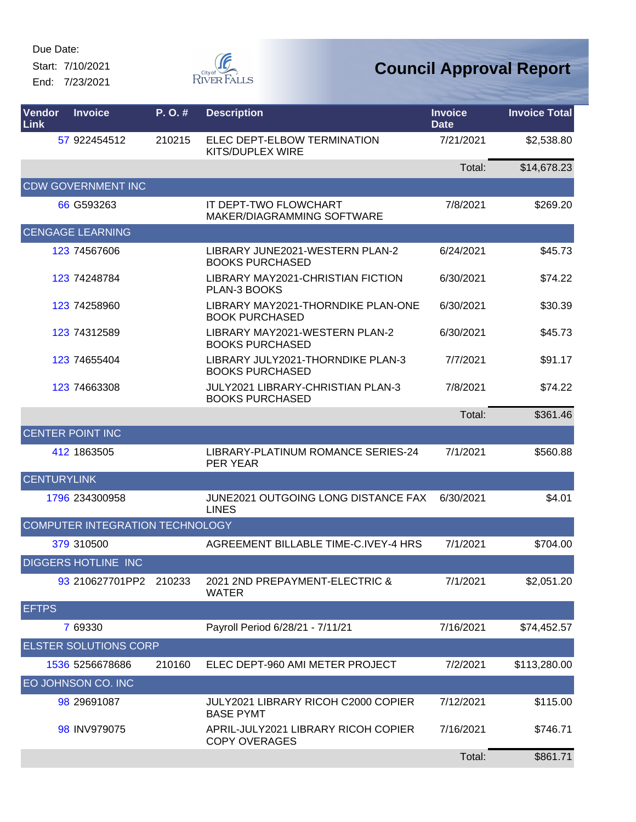Start: 7/10/2021 End: 7/23/2021



| Vendor<br>Link     | <b>Invoice</b>                  | P.O.#  | <b>Description</b>                                                 | <b>Invoice</b><br><b>Date</b> | <b>Invoice Total</b> |
|--------------------|---------------------------------|--------|--------------------------------------------------------------------|-------------------------------|----------------------|
|                    | 57 922454512                    | 210215 | ELEC DEPT-ELBOW TERMINATION<br>KITS/DUPLEX WIRE                    | 7/21/2021                     | \$2,538.80           |
|                    |                                 |        |                                                                    | Total:                        | \$14,678.23          |
|                    | <b>CDW GOVERNMENT INC</b>       |        |                                                                    |                               |                      |
|                    | 66 G593263                      |        | <b>IT DEPT-TWO FLOWCHART</b><br>MAKER/DIAGRAMMING SOFTWARE         | 7/8/2021                      | \$269.20             |
|                    | <b>CENGAGE LEARNING</b>         |        |                                                                    |                               |                      |
|                    | 123 74567606                    |        | LIBRARY JUNE2021-WESTERN PLAN-2<br><b>BOOKS PURCHASED</b>          | 6/24/2021                     | \$45.73              |
|                    | 123 74248784                    |        | LIBRARY MAY2021-CHRISTIAN FICTION<br>PLAN-3 BOOKS                  | 6/30/2021                     | \$74.22              |
|                    | 123 74258960                    |        | LIBRARY MAY2021-THORNDIKE PLAN-ONE<br><b>BOOK PURCHASED</b>        | 6/30/2021                     | \$30.39              |
|                    | 123 74312589                    |        | LIBRARY MAY2021-WESTERN PLAN-2<br><b>BOOKS PURCHASED</b>           | 6/30/2021                     | \$45.73              |
|                    | 123 74655404                    |        | LIBRARY JULY2021-THORNDIKE PLAN-3<br><b>BOOKS PURCHASED</b>        | 7/7/2021                      | \$91.17              |
|                    | 123 74663308                    |        | <b>JULY2021 LIBRARY-CHRISTIAN PLAN-3</b><br><b>BOOKS PURCHASED</b> | 7/8/2021                      | \$74.22              |
|                    |                                 |        |                                                                    | Total:                        | \$361.46             |
|                    | <b>CENTER POINT INC</b>         |        |                                                                    |                               |                      |
|                    | 412 1863505                     |        | LIBRARY-PLATINUM ROMANCE SERIES-24<br>PER YEAR                     | 7/1/2021                      | \$560.88             |
| <b>CENTURYLINK</b> |                                 |        |                                                                    |                               |                      |
|                    | 1796 234300958                  |        | <b>JUNE2021 OUTGOING LONG DISTANCE FAX</b><br><b>LINES</b>         | 6/30/2021                     | \$4.01               |
|                    | COMPUTER INTEGRATION TECHNOLOGY |        |                                                                    |                               |                      |
|                    | 379 310500                      |        | AGREEMENT BILLABLE TIME-C.IVEY-4 HRS                               | 7/1/2021                      | \$704.00             |
|                    | <b>DIGGERS HOTLINE INC</b>      |        |                                                                    |                               |                      |
|                    | 93 210627701PP2 210233          |        | 2021 2ND PREPAYMENT-ELECTRIC &<br><b>WATER</b>                     | 7/1/2021                      | \$2,051.20           |
| <b>EFTPS</b>       |                                 |        |                                                                    |                               |                      |
|                    | 7 69330                         |        | Payroll Period 6/28/21 - 7/11/21                                   | 7/16/2021                     | \$74,452.57          |
|                    | <b>ELSTER SOLUTIONS CORP</b>    |        |                                                                    |                               |                      |
|                    | 1536 5256678686                 | 210160 | ELEC DEPT-960 AMI METER PROJECT                                    | 7/2/2021                      | \$113,280.00         |
|                    | EO JOHNSON CO. INC              |        |                                                                    |                               |                      |
|                    | 98 29691087                     |        | JULY2021 LIBRARY RICOH C2000 COPIER<br><b>BASE PYMT</b>            | 7/12/2021                     | \$115.00             |
|                    | 98 INV979075                    |        | APRIL-JULY2021 LIBRARY RICOH COPIER<br><b>COPY OVERAGES</b>        | 7/16/2021                     | \$746.71             |
|                    |                                 |        |                                                                    | Total:                        | \$861.71             |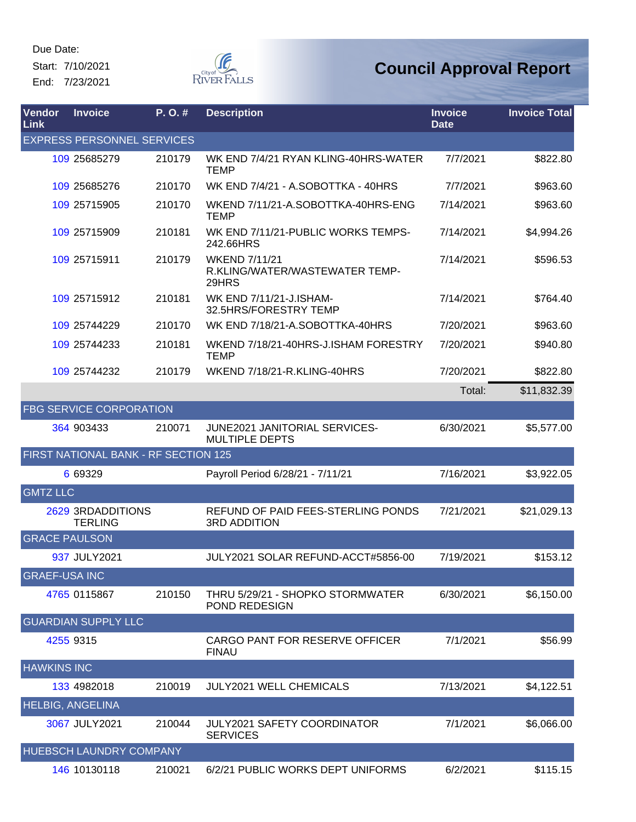Start: 7/10/2021 End: 7/23/2021



| Vendor<br>Link       | <b>Invoice</b>                              | P. O. # | <b>Description</b>                                              | <b>Invoice</b><br><b>Date</b> | <b>Invoice Total</b> |
|----------------------|---------------------------------------------|---------|-----------------------------------------------------------------|-------------------------------|----------------------|
|                      | <b>EXPRESS PERSONNEL SERVICES</b>           |         |                                                                 |                               |                      |
|                      | 109 25685279                                | 210179  | WK END 7/4/21 RYAN KLING-40HRS-WATER<br><b>TEMP</b>             | 7/7/2021                      | \$822.80             |
|                      | 109 25685276                                | 210170  | WK END 7/4/21 - A.SOBOTTKA - 40HRS                              | 7/7/2021                      | \$963.60             |
|                      | 109 25715905                                | 210170  | WKEND 7/11/21-A.SOBOTTKA-40HRS-ENG<br><b>TEMP</b>               | 7/14/2021                     | \$963.60             |
|                      | 109 25715909                                | 210181  | WK END 7/11/21-PUBLIC WORKS TEMPS-<br>242.66HRS                 | 7/14/2021                     | \$4,994.26           |
|                      | 109 25715911                                | 210179  | <b>WKEND 7/11/21</b><br>R.KLING/WATER/WASTEWATER TEMP-<br>29HRS | 7/14/2021                     | \$596.53             |
|                      | 109 25715912                                | 210181  | WK END 7/11/21-J.ISHAM-<br>32.5HRS/FORESTRY TEMP                | 7/14/2021                     | \$764.40             |
|                      | 109 25744229                                | 210170  | WK END 7/18/21-A.SOBOTTKA-40HRS                                 | 7/20/2021                     | \$963.60             |
|                      | 109 25744233                                | 210181  | WKEND 7/18/21-40HRS-J.ISHAM FORESTRY<br><b>TEMP</b>             | 7/20/2021                     | \$940.80             |
|                      | 109 25744232                                | 210179  | WKEND 7/18/21-R.KLING-40HRS                                     | 7/20/2021                     | \$822.80             |
|                      |                                             |         |                                                                 | Total:                        | \$11,832.39          |
|                      | <b>FBG SERVICE CORPORATION</b>              |         |                                                                 |                               |                      |
|                      | 364 903433                                  | 210071  | <b>JUNE2021 JANITORIAL SERVICES-</b><br><b>MULTIPLE DEPTS</b>   | 6/30/2021                     | \$5,577.00           |
|                      | <b>FIRST NATIONAL BANK - RF SECTION 125</b> |         |                                                                 |                               |                      |
|                      | 6 69329                                     |         | Payroll Period 6/28/21 - 7/11/21                                | 7/16/2021                     | \$3,922.05           |
| <b>GMTZ LLC</b>      |                                             |         |                                                                 |                               |                      |
|                      | 2629 3RDADDITIONS<br><b>TERLING</b>         |         | REFUND OF PAID FEES-STERLING PONDS<br><b>3RD ADDITION</b>       | 7/21/2021                     | \$21,029.13          |
| <b>GRACE PAULSON</b> |                                             |         |                                                                 |                               |                      |
|                      | 937 JULY2021                                |         | JULY2021 SOLAR REFUND-ACCT#5856-00                              | 7/19/2021                     | \$153.12             |
| <b>GRAEF-USA INC</b> |                                             |         |                                                                 |                               |                      |
|                      | 4765 0115867                                | 210150  | THRU 5/29/21 - SHOPKO STORMWATER<br>POND REDESIGN               | 6/30/2021                     | \$6,150.00           |
|                      | <b>GUARDIAN SUPPLY LLC</b>                  |         |                                                                 |                               |                      |
|                      | 4255 9315                                   |         | CARGO PANT FOR RESERVE OFFICER<br><b>FINAU</b>                  | 7/1/2021                      | \$56.99              |
| <b>HAWKINS INC</b>   |                                             |         |                                                                 |                               |                      |
|                      | 133 4982018                                 | 210019  | <b>JULY2021 WELL CHEMICALS</b>                                  | 7/13/2021                     | \$4,122.51           |
|                      | <b>HELBIG, ANGELINA</b>                     |         |                                                                 |                               |                      |
|                      | 3067 JULY2021                               | 210044  | <b>JULY2021 SAFETY COORDINATOR</b><br><b>SERVICES</b>           | 7/1/2021                      | \$6,066.00           |
|                      | HUEBSCH LAUNDRY COMPANY                     |         |                                                                 |                               |                      |
|                      | 146 10130118                                | 210021  | 6/2/21 PUBLIC WORKS DEPT UNIFORMS                               | 6/2/2021                      | \$115.15             |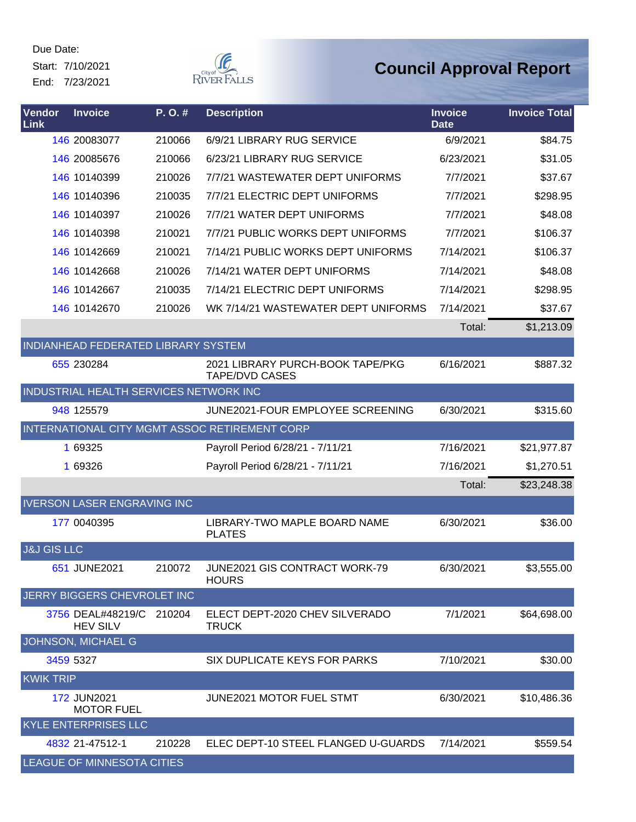Start: 7/10/2021 End: 7/23/2021



| Vendor<br>Link         | <b>Invoice</b>                              | P.O.#  | <b>Description</b>                                        | <b>Invoice</b><br><b>Date</b> | <b>Invoice Total</b> |
|------------------------|---------------------------------------------|--------|-----------------------------------------------------------|-------------------------------|----------------------|
|                        | 146 20083077                                | 210066 | 6/9/21 LIBRARY RUG SERVICE                                | 6/9/2021                      | \$84.75              |
|                        | 146 20085676                                | 210066 | 6/23/21 LIBRARY RUG SERVICE                               | 6/23/2021                     | \$31.05              |
|                        | 146 10140399                                | 210026 | 7/7/21 WASTEWATER DEPT UNIFORMS                           | 7/7/2021                      | \$37.67              |
|                        | 146 10140396                                | 210035 | 7/7/21 ELECTRIC DEPT UNIFORMS                             | 7/7/2021                      | \$298.95             |
|                        | 146 10140397                                | 210026 | 7/7/21 WATER DEPT UNIFORMS                                | 7/7/2021                      | \$48.08              |
|                        | 146 10140398                                | 210021 | 7/7/21 PUBLIC WORKS DEPT UNIFORMS                         | 7/7/2021                      | \$106.37             |
|                        | 146 10142669                                | 210021 | 7/14/21 PUBLIC WORKS DEPT UNIFORMS                        | 7/14/2021                     | \$106.37             |
|                        | 146 10142668                                | 210026 | 7/14/21 WATER DEPT UNIFORMS                               | 7/14/2021                     | \$48.08              |
|                        | 146 10142667                                | 210035 | 7/14/21 ELECTRIC DEPT UNIFORMS                            | 7/14/2021                     | \$298.95             |
|                        | 146 10142670                                | 210026 | WK 7/14/21 WASTEWATER DEPT UNIFORMS                       | 7/14/2021                     | \$37.67              |
|                        |                                             |        |                                                           | Total:                        | \$1,213.09           |
|                        | INDIANHEAD FEDERATED LIBRARY SYSTEM         |        |                                                           |                               |                      |
|                        | 655 230284                                  |        | 2021 LIBRARY PURCH-BOOK TAPE/PKG<br><b>TAPE/DVD CASES</b> | 6/16/2021                     | \$887.32             |
|                        | INDUSTRIAL HEALTH SERVICES NETWORK INC      |        |                                                           |                               |                      |
|                        | 948 125579                                  |        | JUNE2021-FOUR EMPLOYEE SCREENING                          | 6/30/2021                     | \$315.60             |
|                        |                                             |        | INTERNATIONAL CITY MGMT ASSOC RETIREMENT CORP             |                               |                      |
|                        | 1 69325                                     |        | Payroll Period 6/28/21 - 7/11/21                          | 7/16/2021                     | \$21,977.87          |
|                        | 1 69326                                     |        | Payroll Period 6/28/21 - 7/11/21                          | 7/16/2021                     | \$1,270.51           |
|                        |                                             |        |                                                           | Total:                        | \$23,248.38          |
|                        | <b>IVERSON LASER ENGRAVING INC</b>          |        |                                                           |                               |                      |
|                        | 177 0040395                                 |        | LIBRARY-TWO MAPLE BOARD NAME<br><b>PLATES</b>             | 6/30/2021                     | \$36.00              |
| <b>J&amp;J GIS LLC</b> |                                             |        |                                                           |                               |                      |
|                        | 651 JUNE2021                                | 210072 | JUNE2021 GIS CONTRACT WORK-79<br><b>HOURS</b>             | 6/30/2021                     | \$3,555.00           |
|                        | JERRY BIGGERS CHEVROLET INC                 |        |                                                           |                               |                      |
|                        | 3756 DEAL#48219/C 210204<br><b>HEV SILV</b> |        | ELECT DEPT-2020 CHEV SILVERADO<br><b>TRUCK</b>            | 7/1/2021                      | \$64,698.00          |
|                        | <b>JOHNSON, MICHAEL G</b>                   |        |                                                           |                               |                      |
|                        | 3459 5327                                   |        | SIX DUPLICATE KEYS FOR PARKS                              | 7/10/2021                     | \$30.00              |
| <b>KWIK TRIP</b>       |                                             |        |                                                           |                               |                      |
|                        | <b>172 JUN2021</b><br><b>MOTOR FUEL</b>     |        | JUNE2021 MOTOR FUEL STMT                                  | 6/30/2021                     | \$10,486.36          |
|                        | <b>KYLE ENTERPRISES LLC</b>                 |        |                                                           |                               |                      |
|                        | 4832 21-47512-1                             | 210228 | ELEC DEPT-10 STEEL FLANGED U-GUARDS                       | 7/14/2021                     | \$559.54             |
|                        | LEAGUE OF MINNESOTA CITIES                  |        |                                                           |                               |                      |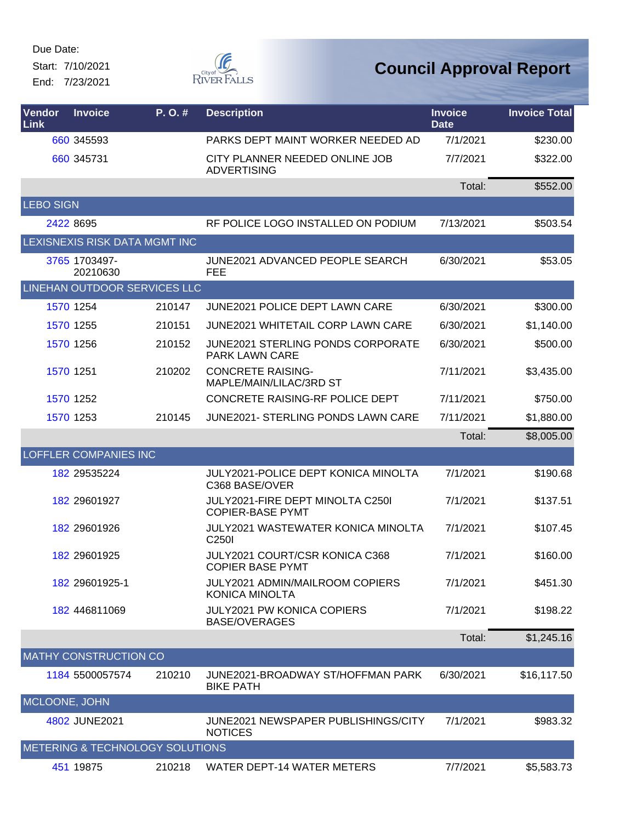Start: 7/10/2021 End: 7/23/2021



| <b>Vendor</b><br><b>Link</b> | <b>Invoice</b>                             | P.O.#  | <b>Description</b>                                              | <b>Invoice</b><br><b>Date</b> | <b>Invoice Total</b> |
|------------------------------|--------------------------------------------|--------|-----------------------------------------------------------------|-------------------------------|----------------------|
|                              | 660 345593                                 |        | PARKS DEPT MAINT WORKER NEEDED AD                               | 7/1/2021                      | \$230.00             |
|                              | 660 345731                                 |        | CITY PLANNER NEEDED ONLINE JOB<br><b>ADVERTISING</b>            | 7/7/2021                      | \$322.00             |
|                              |                                            |        |                                                                 | Total:                        | \$552.00             |
| <b>LEBO SIGN</b>             |                                            |        |                                                                 |                               |                      |
|                              | 2422 8695                                  |        | RF POLICE LOGO INSTALLED ON PODIUM                              | 7/13/2021                     | \$503.54             |
|                              | LEXISNEXIS RISK DATA MGMT INC              |        |                                                                 |                               |                      |
|                              | 3765 1703497-<br>20210630                  |        | <b>JUNE2021 ADVANCED PEOPLE SEARCH</b><br><b>FEE</b>            | 6/30/2021                     | \$53.05              |
|                              | LINEHAN OUTDOOR SERVICES LLC               |        |                                                                 |                               |                      |
|                              | 1570 1254                                  | 210147 | JUNE2021 POLICE DEPT LAWN CARE                                  | 6/30/2021                     | \$300.00             |
|                              | 1570 1255                                  | 210151 | JUNE2021 WHITETAIL CORP LAWN CARE                               | 6/30/2021                     | \$1,140.00           |
|                              | 1570 1256                                  | 210152 | JUNE2021 STERLING PONDS CORPORATE<br><b>PARK LAWN CARE</b>      | 6/30/2021                     | \$500.00             |
|                              | 1570 1251                                  | 210202 | <b>CONCRETE RAISING-</b><br>MAPLE/MAIN/LILAC/3RD ST             | 7/11/2021                     | \$3,435.00           |
|                              | 1570 1252                                  |        | CONCRETE RAISING-RF POLICE DEPT                                 | 7/11/2021                     | \$750.00             |
|                              | 1570 1253                                  | 210145 | JUNE2021- STERLING PONDS LAWN CARE                              | 7/11/2021                     | \$1,880.00           |
|                              |                                            |        |                                                                 | Total:                        | \$8,005.00           |
|                              | LOFFLER COMPANIES INC                      |        |                                                                 |                               |                      |
|                              | 182 29535224                               |        | JULY2021-POLICE DEPT KONICA MINOLTA<br>C368 BASE/OVER           | 7/1/2021                      | \$190.68             |
|                              | 182 29601927                               |        | JULY2021-FIRE DEPT MINOLTA C250I<br><b>COPIER-BASE PYMT</b>     | 7/1/2021                      | \$137.51             |
|                              | 182 29601926                               |        | JULY2021 WASTEWATER KONICA MINOLTA<br>C <sub>250</sub>          | 7/1/2021                      | \$107.45             |
|                              | 182 29601925                               |        | JULY2021 COURT/CSR KONICA C368<br><b>COPIER BASE PYMT</b>       | 7/1/2021                      | \$160.00             |
|                              | 182 29601925-1                             |        | <b>JULY2021 ADMIN/MAILROOM COPIERS</b><br><b>KONICA MINOLTA</b> | 7/1/2021                      | \$451.30             |
|                              | 182 446811069                              |        | <b>JULY2021 PW KONICA COPIERS</b><br><b>BASE/OVERAGES</b>       | 7/1/2021                      | \$198.22             |
|                              |                                            |        |                                                                 | Total:                        | \$1,245.16           |
|                              | <b>MATHY CONSTRUCTION CO</b>               |        |                                                                 |                               |                      |
|                              | 1184 5500057574                            | 210210 | JUNE2021-BROADWAY ST/HOFFMAN PARK<br><b>BIKE PATH</b>           | 6/30/2021                     | \$16,117.50          |
| MCLOONE, JOHN                |                                            |        |                                                                 |                               |                      |
|                              | 4802 JUNE2021                              |        | JUNE2021 NEWSPAPER PUBLISHINGS/CITY<br><b>NOTICES</b>           | 7/1/2021                      | \$983.32             |
|                              | <b>METERING &amp; TECHNOLOGY SOLUTIONS</b> |        |                                                                 |                               |                      |
|                              | 451 19875                                  | 210218 | <b>WATER DEPT-14 WATER METERS</b>                               | 7/7/2021                      | \$5,583.73           |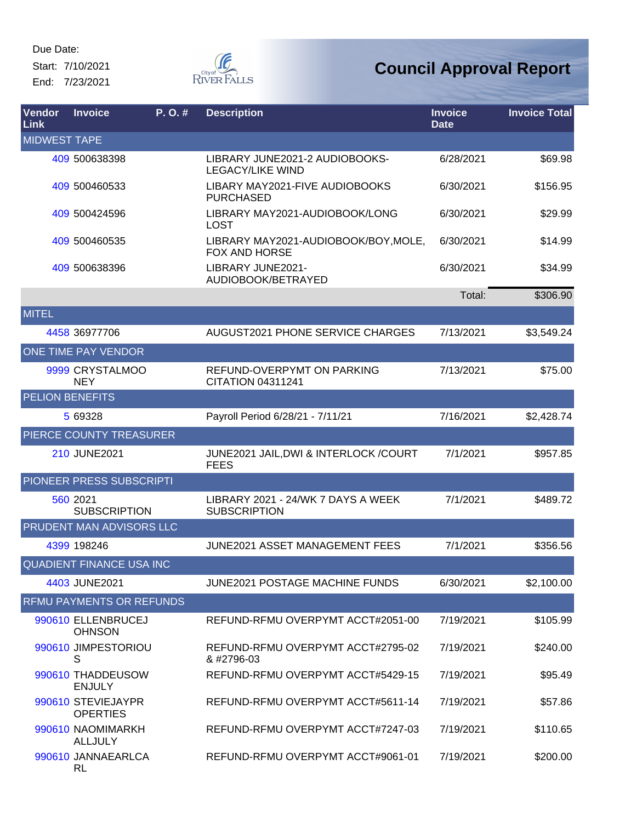Start: 7/10/2021 End: 7/23/2021



| Vendor<br>Link         | <b>Invoice</b>                        | P. O. # | <b>Description</b>                                        | <b>Invoice</b><br><b>Date</b> | <b>Invoice Total</b> |
|------------------------|---------------------------------------|---------|-----------------------------------------------------------|-------------------------------|----------------------|
| <b>MIDWEST TAPE</b>    |                                       |         |                                                           |                               |                      |
|                        | 409 500638398                         |         | LIBRARY JUNE2021-2 AUDIOBOOKS-<br><b>LEGACY/LIKE WIND</b> | 6/28/2021                     | \$69.98              |
|                        | 409 500460533                         |         | LIBARY MAY2021-FIVE AUDIOBOOKS<br><b>PURCHASED</b>        | 6/30/2021                     | \$156.95             |
|                        | 409 500424596                         |         | LIBRARY MAY2021-AUDIOBOOK/LONG<br><b>LOST</b>             | 6/30/2021                     | \$29.99              |
|                        | 409 500460535                         |         | LIBRARY MAY2021-AUDIOBOOK/BOY, MOLE,<br>FOX AND HORSE     | 6/30/2021                     | \$14.99              |
|                        | 409 500638396                         |         | LIBRARY JUNE2021-<br>AUDIOBOOK/BETRAYED                   | 6/30/2021                     | \$34.99              |
|                        |                                       |         |                                                           | Total:                        | \$306.90             |
| <b>MITEL</b>           |                                       |         |                                                           |                               |                      |
|                        | 4458 36977706                         |         | <b>AUGUST2021 PHONE SERVICE CHARGES</b>                   | 7/13/2021                     | \$3,549.24           |
|                        | ONE TIME PAY VENDOR                   |         |                                                           |                               |                      |
|                        | 9999 CRYSTALMOO<br><b>NEY</b>         |         | REFUND-OVERPYMT ON PARKING<br>CITATION 04311241           | 7/13/2021                     | \$75.00              |
| <b>PELION BENEFITS</b> |                                       |         |                                                           |                               |                      |
|                        | 5 69328                               |         | Payroll Period 6/28/21 - 7/11/21                          | 7/16/2021                     | \$2,428.74           |
|                        | PIERCE COUNTY TREASURER               |         |                                                           |                               |                      |
|                        | 210 JUNE2021                          |         | JUNE2021 JAIL, DWI & INTERLOCK / COURT<br><b>FEES</b>     | 7/1/2021                      | \$957.85             |
|                        | PIONEER PRESS SUBSCRIPTI              |         |                                                           |                               |                      |
|                        | 560 2021<br><b>SUBSCRIPTION</b>       |         | LIBRARY 2021 - 24/WK 7 DAYS A WEEK<br><b>SUBSCRIPTION</b> | 7/1/2021                      | \$489.72             |
|                        | <b>PRUDENT MAN ADVISORS LLC</b>       |         |                                                           |                               |                      |
|                        | 4399 198246                           |         | <b>JUNE2021 ASSET MANAGEMENT FEES</b>                     | 7/1/2021                      | \$356.56             |
|                        | <b>QUADIENT FINANCE USA INC</b>       |         |                                                           |                               |                      |
|                        | 4403 JUNE2021                         |         | JUNE2021 POSTAGE MACHINE FUNDS                            | 6/30/2021                     | \$2,100.00           |
|                        | <b>RFMU PAYMENTS OR REFUNDS</b>       |         |                                                           |                               |                      |
|                        | 990610 ELLENBRUCEJ<br><b>OHNSON</b>   |         | REFUND-RFMU OVERPYMT ACCT#2051-00                         | 7/19/2021                     | \$105.99             |
|                        | 990610 JIMPESTORIOU<br>S              |         | REFUND-RFMU OVERPYMT ACCT#2795-02<br>& #2796-03           | 7/19/2021                     | \$240.00             |
|                        | 990610 THADDEUSOW<br><b>ENJULY</b>    |         | REFUND-RFMU OVERPYMT ACCT#5429-15                         | 7/19/2021                     | \$95.49              |
|                        | 990610 STEVIEJAYPR<br><b>OPERTIES</b> |         | REFUND-RFMU OVERPYMT ACCT#5611-14                         | 7/19/2021                     | \$57.86              |
|                        | 990610 NAOMIMARKH<br><b>ALLJULY</b>   |         | REFUND-RFMU OVERPYMT ACCT#7247-03                         | 7/19/2021                     | \$110.65             |
|                        | 990610 JANNAEARLCA<br>RL              |         | REFUND-RFMU OVERPYMT ACCT#9061-01                         | 7/19/2021                     | \$200.00             |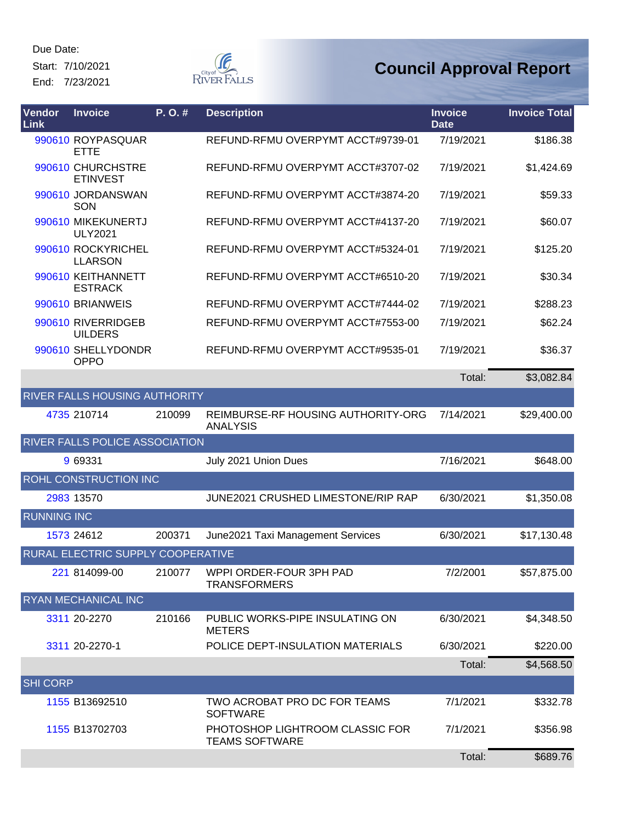Start: 7/10/2021 End: 7/23/2021

**F** RIVER FALLS

| Vendor<br><b>Link</b> | <b>Invoice</b>                        | P.O.#  | <b>Description</b>                                       | <b>Invoice</b><br><b>Date</b> | <b>Invoice Total</b> |
|-----------------------|---------------------------------------|--------|----------------------------------------------------------|-------------------------------|----------------------|
|                       | 990610 ROYPASQUAR<br><b>ETTE</b>      |        | REFUND-RFMU OVERPYMT ACCT#9739-01                        | 7/19/2021                     | \$186.38             |
|                       | 990610 CHURCHSTRE<br><b>ETINVEST</b>  |        | REFUND-RFMU OVERPYMT ACCT#3707-02                        | 7/19/2021                     | \$1,424.69           |
|                       | 990610 JORDANSWAN<br>SON              |        | REFUND-RFMU OVERPYMT ACCT#3874-20                        | 7/19/2021                     | \$59.33              |
|                       | 990610 MIKEKUNERTJ<br><b>ULY2021</b>  |        | REFUND-RFMU OVERPYMT ACCT#4137-20                        | 7/19/2021                     | \$60.07              |
|                       | 990610 ROCKYRICHEL<br><b>LLARSON</b>  |        | REFUND-RFMU OVERPYMT ACCT#5324-01                        | 7/19/2021                     | \$125.20             |
|                       | 990610 KEITHANNETT<br><b>ESTRACK</b>  |        | REFUND-RFMU OVERPYMT ACCT#6510-20                        | 7/19/2021                     | \$30.34              |
|                       | 990610 BRIANWEIS                      |        | REFUND-RFMU OVERPYMT ACCT#7444-02                        | 7/19/2021                     | \$288.23             |
|                       | 990610 RIVERRIDGEB<br><b>UILDERS</b>  |        | REFUND-RFMU OVERPYMT ACCT#7553-00                        | 7/19/2021                     | \$62.24              |
|                       | 990610 SHELLYDONDR<br><b>OPPO</b>     |        | REFUND-RFMU OVERPYMT ACCT#9535-01                        | 7/19/2021                     | \$36.37              |
|                       |                                       |        |                                                          | Total:                        | \$3,082.84           |
|                       | RIVER FALLS HOUSING AUTHORITY         |        |                                                          |                               |                      |
|                       | 4735 210714                           | 210099 | REIMBURSE-RF HOUSING AUTHORITY-ORG<br><b>ANALYSIS</b>    | 7/14/2021                     | \$29,400.00          |
|                       | <b>RIVER FALLS POLICE ASSOCIATION</b> |        |                                                          |                               |                      |
|                       | 9 69331                               |        | July 2021 Union Dues                                     | 7/16/2021                     | \$648.00             |
|                       | ROHL CONSTRUCTION INC                 |        |                                                          |                               |                      |
|                       | 2983 13570                            |        | JUNE2021 CRUSHED LIMESTONE/RIP RAP                       | 6/30/2021                     | \$1,350.08           |
| <b>RUNNING INC</b>    |                                       |        |                                                          |                               |                      |
|                       | 1573 24612                            | 200371 | June2021 Taxi Management Services                        | 6/30/2021                     | \$17,130.48          |
|                       | RURAL ELECTRIC SUPPLY COOPERATIVE     |        |                                                          |                               |                      |
|                       | 221 814099-00                         | 210077 | WPPI ORDER-FOUR 3PH PAD<br><b>TRANSFORMERS</b>           | 7/2/2001                      | \$57,875.00          |
|                       | <b>RYAN MECHANICAL INC</b>            |        |                                                          |                               |                      |
|                       | 3311 20-2270                          | 210166 | PUBLIC WORKS-PIPE INSULATING ON<br><b>METERS</b>         | 6/30/2021                     | \$4,348.50           |
|                       | 3311 20-2270-1                        |        | POLICE DEPT-INSULATION MATERIALS                         | 6/30/2021                     | \$220.00             |
|                       |                                       |        |                                                          | Total:                        | \$4,568.50           |
| <b>SHI CORP</b>       |                                       |        |                                                          |                               |                      |
|                       | 1155 B13692510                        |        | TWO ACROBAT PRO DC FOR TEAMS<br><b>SOFTWARE</b>          | 7/1/2021                      | \$332.78             |
|                       | 1155 B13702703                        |        | PHOTOSHOP LIGHTROOM CLASSIC FOR<br><b>TEAMS SOFTWARE</b> | 7/1/2021                      | \$356.98             |
|                       |                                       |        |                                                          | Total:                        | \$689.76             |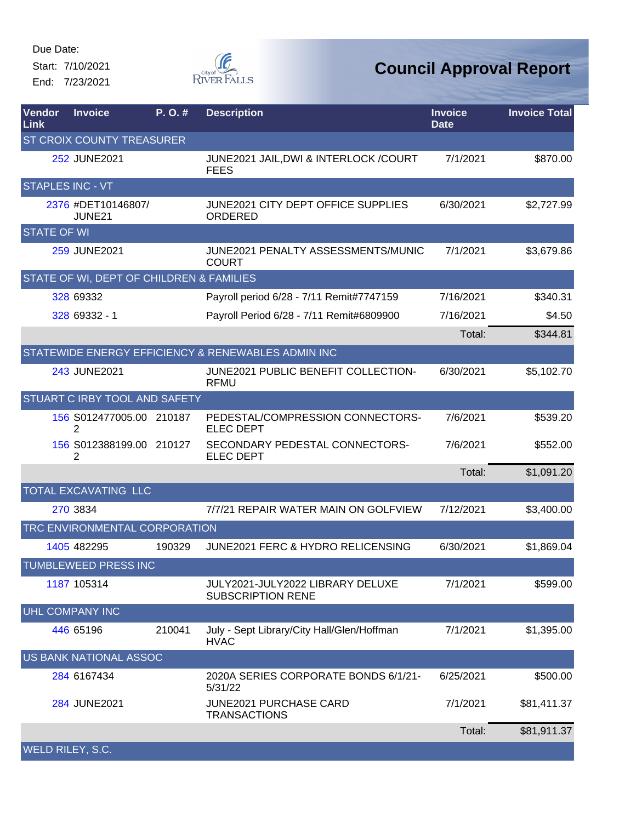Start: 7/10/2021 End: 7/23/2021



| Vendor<br><b>Link</b> | <b>Invoice</b>                           | P.O.#  | <b>Description</b>                                           | <b>Invoice</b><br><b>Date</b> | <b>Invoice Total</b> |
|-----------------------|------------------------------------------|--------|--------------------------------------------------------------|-------------------------------|----------------------|
|                       | ST CROIX COUNTY TREASURER                |        |                                                              |                               |                      |
|                       | 252 JUNE2021                             |        | JUNE2021 JAIL, DWI & INTERLOCK / COURT<br><b>FEES</b>        | 7/1/2021                      | \$870.00             |
|                       | <b>STAPLES INC - VT</b>                  |        |                                                              |                               |                      |
|                       | 2376 #DET10146807/<br>JUNE21             |        | JUNE2021 CITY DEPT OFFICE SUPPLIES<br>ORDERED                | 6/30/2021                     | \$2,727.99           |
| <b>STATE OF WI</b>    |                                          |        |                                                              |                               |                      |
|                       | 259 JUNE2021                             |        | JUNE2021 PENALTY ASSESSMENTS/MUNIC<br><b>COURT</b>           | 7/1/2021                      | \$3,679.86           |
|                       | STATE OF WI, DEPT OF CHILDREN & FAMILIES |        |                                                              |                               |                      |
|                       | 328 69332                                |        | Payroll period 6/28 - 7/11 Remit#7747159                     | 7/16/2021                     | \$340.31             |
|                       | 328 69332 - 1                            |        | Payroll Period 6/28 - 7/11 Remit#6809900                     | 7/16/2021                     | \$4.50               |
|                       |                                          |        |                                                              | Total:                        | \$344.81             |
|                       |                                          |        | STATEWIDE ENERGY EFFICIENCY & RENEWABLES ADMIN INC           |                               |                      |
|                       | 243 JUNE2021                             |        | JUNE2021 PUBLIC BENEFIT COLLECTION-<br><b>RFMU</b>           | 6/30/2021                     | \$5,102.70           |
|                       | STUART C IRBY TOOL AND SAFETY            |        |                                                              |                               |                      |
|                       | 156 S012477005.00 210187<br>2            |        | PEDESTAL/COMPRESSION CONNECTORS-<br><b>ELEC DEPT</b>         | 7/6/2021                      | \$539.20             |
|                       | 156 S012388199.00 210127<br>2            |        | SECONDARY PEDESTAL CONNECTORS-<br><b>ELEC DEPT</b>           | 7/6/2021                      | \$552.00             |
|                       |                                          |        |                                                              | Total:                        | \$1,091.20           |
|                       | TOTAL EXCAVATING LLC                     |        |                                                              |                               |                      |
|                       | 270 3834                                 |        | 7/7/21 REPAIR WATER MAIN ON GOLFVIEW                         | 7/12/2021                     | \$3,400.00           |
|                       | TRC ENVIRONMENTAL CORPORATION            |        |                                                              |                               |                      |
|                       | 1405 482295                              | 190329 | <b>JUNE2021 FERC &amp; HYDRO RELICENSING</b>                 | 6/30/2021                     | \$1,869.04           |
|                       | TUMBLEWEED PRESS INC                     |        |                                                              |                               |                      |
|                       | 1187 105314                              |        | JULY2021-JULY2022 LIBRARY DELUXE<br><b>SUBSCRIPTION RENE</b> | 7/1/2021                      | \$599.00             |
|                       | <b>UHL COMPANY INC</b>                   |        |                                                              |                               |                      |
|                       | 446 65196                                | 210041 | July - Sept Library/City Hall/Glen/Hoffman<br><b>HVAC</b>    | 7/1/2021                      | \$1,395.00           |
|                       | <b>US BANK NATIONAL ASSOC</b>            |        |                                                              |                               |                      |
|                       | 284 6167434                              |        | 2020A SERIES CORPORATE BONDS 6/1/21-<br>5/31/22              | 6/25/2021                     | \$500.00             |
|                       | 284 JUNE2021                             |        | JUNE2021 PURCHASE CARD<br><b>TRANSACTIONS</b>                | 7/1/2021                      | \$81,411.37          |
|                       |                                          |        |                                                              | Total:                        | \$81,911.37          |
| WELD RILEY, S.C.      |                                          |        |                                                              |                               |                      |